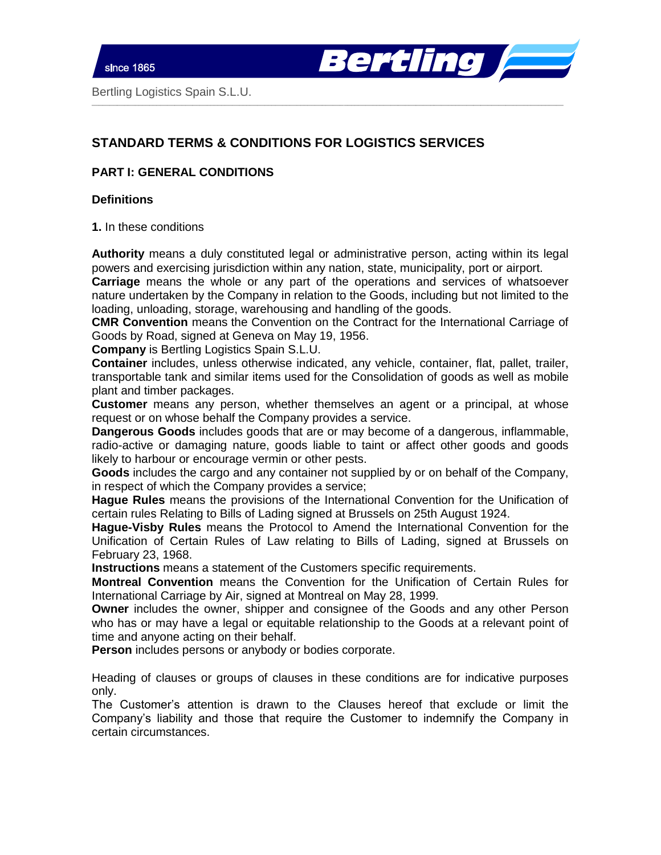

# **STANDARD TERMS & CONDITIONS FOR LOGISTICS SERVICES**

# **PART I: GENERAL CONDITIONS**

### **Definitions**

**1.** In these conditions

**Authority** means a duly constituted legal or administrative person, acting within its legal powers and exercising jurisdiction within any nation, state, municipality, port or airport.

 $\_$  , and the set of the set of the set of the set of the set of the set of the set of the set of the set of the set of the set of the set of the set of the set of the set of the set of the set of the set of the set of th

**Carriage** means the whole or any part of the operations and services of whatsoever nature undertaken by the Company in relation to the Goods, including but not limited to the loading, unloading, storage, warehousing and handling of the goods.

**CMR Convention** means the Convention on the Contract for the International Carriage of Goods by Road, signed at Geneva on May 19, 1956.

**Company** is Bertling Logistics Spain S.L.U.

**Container** includes, unless otherwise indicated, any vehicle, container, flat, pallet, trailer, transportable tank and similar items used for the Consolidation of goods as well as mobile plant and timber packages.

**Customer** means any person, whether themselves an agent or a principal, at whose request or on whose behalf the Company provides a service.

**Dangerous Goods** includes goods that are or may become of a dangerous, inflammable, radio-active or damaging nature, goods liable to taint or affect other goods and goods likely to harbour or encourage vermin or other pests.

**Goods** includes the cargo and any container not supplied by or on behalf of the Company, in respect of which the Company provides a service;

**Hague Rules** means the provisions of the International Convention for the Unification of certain rules Relating to Bills of Lading signed at Brussels on 25th August 1924.

**Hague-Visby Rules** means the Protocol to Amend the International Convention for the Unification of Certain Rules of Law relating to Bills of Lading, signed at Brussels on February 23, 1968.

**Instructions** means a statement of the Customers specific requirements.

**Montreal Convention** means the Convention for the Unification of Certain Rules for International Carriage by Air, signed at Montreal on May 28, 1999.

**Owner** includes the owner, shipper and consignee of the Goods and any other Person who has or may have a legal or equitable relationship to the Goods at a relevant point of time and anyone acting on their behalf.

**Person** includes persons or anybody or bodies corporate.

Heading of clauses or groups of clauses in these conditions are for indicative purposes only.

The Customer's attention is drawn to the Clauses hereof that exclude or limit the Company's liability and those that require the Customer to indemnify the Company in certain circumstances.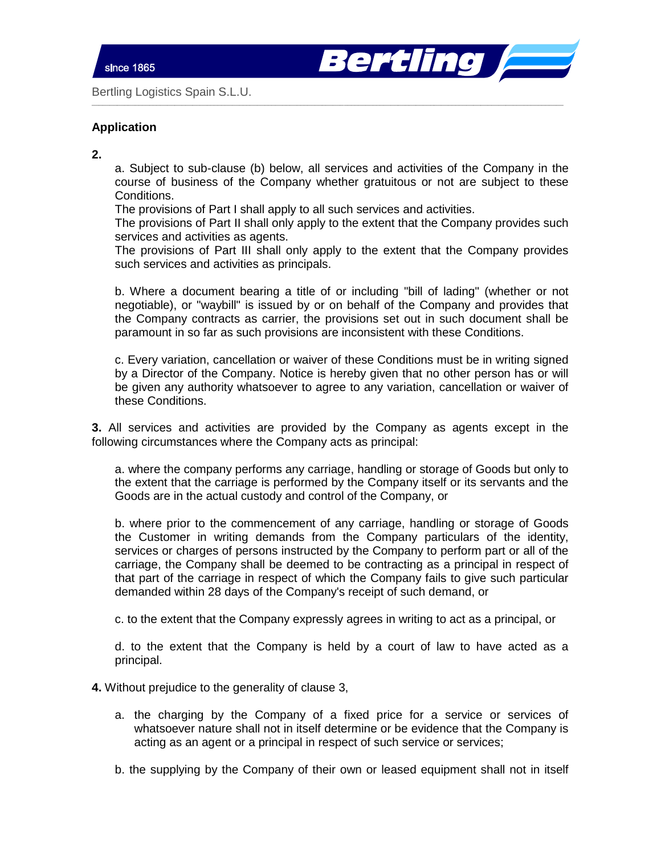

# **Application**

**2.** 

a. Subject to sub-clause (b) below, all services and activities of the Company in the course of business of the Company whether gratuitous or not are subject to these Conditions.

 $\_$  , and the set of the set of the set of the set of the set of the set of the set of the set of the set of the set of the set of the set of the set of the set of the set of the set of the set of the set of the set of th

The provisions of Part I shall apply to all such services and activities.

The provisions of Part II shall only apply to the extent that the Company provides such services and activities as agents.

The provisions of Part III shall only apply to the extent that the Company provides such services and activities as principals.

b. Where a document bearing a title of or including "bill of lading" (whether or not negotiable), or "waybill" is issued by or on behalf of the Company and provides that the Company contracts as carrier, the provisions set out in such document shall be paramount in so far as such provisions are inconsistent with these Conditions.

c. Every variation, cancellation or waiver of these Conditions must be in writing signed by a Director of the Company. Notice is hereby given that no other person has or will be given any authority whatsoever to agree to any variation, cancellation or waiver of these Conditions.

**3.** All services and activities are provided by the Company as agents except in the following circumstances where the Company acts as principal:

a. where the company performs any carriage, handling or storage of Goods but only to the extent that the carriage is performed by the Company itself or its servants and the Goods are in the actual custody and control of the Company, or

b. where prior to the commencement of any carriage, handling or storage of Goods the Customer in writing demands from the Company particulars of the identity, services or charges of persons instructed by the Company to perform part or all of the carriage, the Company shall be deemed to be contracting as a principal in respect of that part of the carriage in respect of which the Company fails to give such particular demanded within 28 days of the Company's receipt of such demand, or

c. to the extent that the Company expressly agrees in writing to act as a principal, or

d. to the extent that the Company is held by a court of law to have acted as a principal.

**4.** Without prejudice to the generality of clause 3,

- a. the charging by the Company of a fixed price for a service or services of whatsoever nature shall not in itself determine or be evidence that the Company is acting as an agent or a principal in respect of such service or services;
- b. the supplying by the Company of their own or leased equipment shall not in itself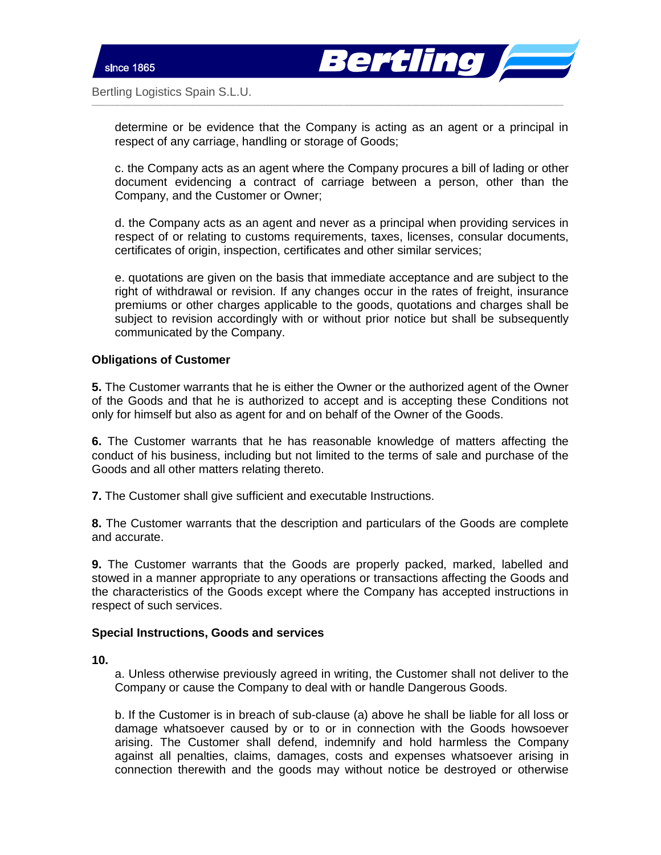

determine or be evidence that the Company is acting as an agent or a principal in respect of any carriage, handling or storage of Goods;

 $\_$  , and the set of the set of the set of the set of the set of the set of the set of the set of the set of the set of the set of the set of the set of the set of the set of the set of the set of the set of the set of th

c. the Company acts as an agent where the Company procures a bill of lading or other document evidencing a contract of carriage between a person, other than the Company, and the Customer or Owner;

d. the Company acts as an agent and never as a principal when providing services in respect of or relating to customs requirements, taxes, licenses, consular documents, certificates of origin, inspection, certificates and other similar services;

e. quotations are given on the basis that immediate acceptance and are subject to the right of withdrawal or revision. If any changes occur in the rates of freight, insurance premiums or other charges applicable to the goods, quotations and charges shall be subject to revision accordingly with or without prior notice but shall be subsequently communicated by the Company.

# **Obligations of Customer**

**5.** The Customer warrants that he is either the Owner or the authorized agent of the Owner of the Goods and that he is authorized to accept and is accepting these Conditions not only for himself but also as agent for and on behalf of the Owner of the Goods.

**6.** The Customer warrants that he has reasonable knowledge of matters affecting the conduct of his business, including but not limited to the terms of sale and purchase of the Goods and all other matters relating thereto.

**7.** The Customer shall give sufficient and executable Instructions.

**8.** The Customer warrants that the description and particulars of the Goods are complete and accurate.

**9.** The Customer warrants that the Goods are properly packed, marked, labelled and stowed in a manner appropriate to any operations or transactions affecting the Goods and the characteristics of the Goods except where the Company has accepted instructions in respect of such services.

# **Special Instructions, Goods and services**

**10.** 

a. Unless otherwise previously agreed in writing, the Customer shall not deliver to the Company or cause the Company to deal with or handle Dangerous Goods.

b. If the Customer is in breach of sub-clause (a) above he shall be liable for all loss or damage whatsoever caused by or to or in connection with the Goods howsoever arising. The Customer shall defend, indemnify and hold harmless the Company against all penalties, claims, damages, costs and expenses whatsoever arising in connection therewith and the goods may without notice be destroyed or otherwise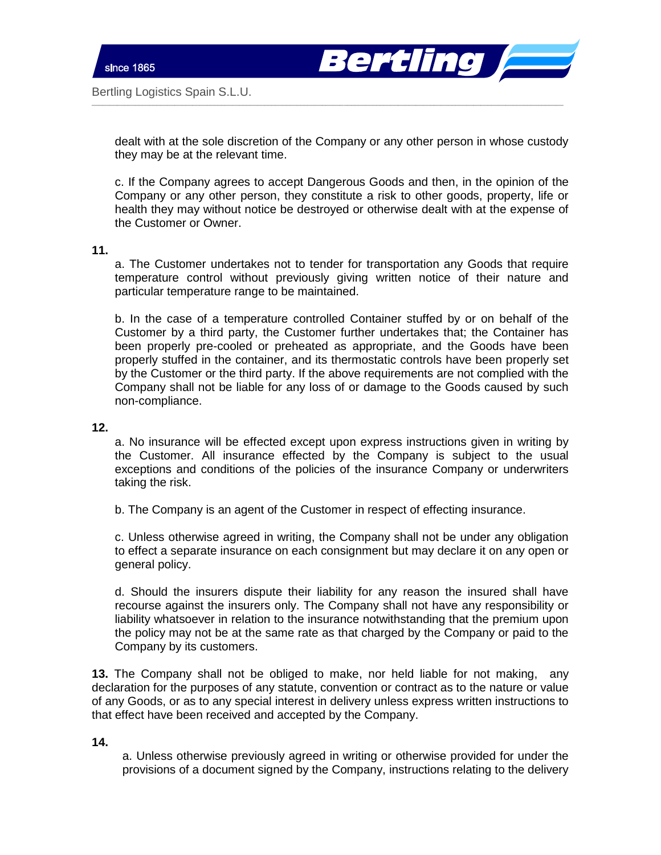ertling *|*=

Bertling Logistics Spain S.L.U.

dealt with at the sole discretion of the Company or any other person in whose custody they may be at the relevant time.

 $\_$  , and the set of the set of the set of the set of the set of the set of the set of the set of the set of the set of the set of the set of the set of the set of the set of the set of the set of the set of the set of th

c. If the Company agrees to accept Dangerous Goods and then, in the opinion of the Company or any other person, they constitute a risk to other goods, property, life or health they may without notice be destroyed or otherwise dealt with at the expense of the Customer or Owner.

**11.** 

a. The Customer undertakes not to tender for transportation any Goods that require temperature control without previously giving written notice of their nature and particular temperature range to be maintained.

b. In the case of a temperature controlled Container stuffed by or on behalf of the Customer by a third party, the Customer further undertakes that; the Container has been properly pre-cooled or preheated as appropriate, and the Goods have been properly stuffed in the container, and its thermostatic controls have been properly set by the Customer or the third party. If the above requirements are not complied with the Company shall not be liable for any loss of or damage to the Goods caused by such non-compliance.

**12.** 

a. No insurance will be effected except upon express instructions given in writing by the Customer. All insurance effected by the Company is subject to the usual exceptions and conditions of the policies of the insurance Company or underwriters taking the risk.

b. The Company is an agent of the Customer in respect of effecting insurance.

c. Unless otherwise agreed in writing, the Company shall not be under any obligation to effect a separate insurance on each consignment but may declare it on any open or general policy.

d. Should the insurers dispute their liability for any reason the insured shall have recourse against the insurers only. The Company shall not have any responsibility or liability whatsoever in relation to the insurance notwithstanding that the premium upon the policy may not be at the same rate as that charged by the Company or paid to the Company by its customers.

**13.** The Company shall not be obliged to make, nor held liable for not making, any declaration for the purposes of any statute, convention or contract as to the nature or value of any Goods, or as to any special interest in delivery unless express written instructions to that effect have been received and accepted by the Company.

**14.** 

a. Unless otherwise previously agreed in writing or otherwise provided for under the provisions of a document signed by the Company, instructions relating to the delivery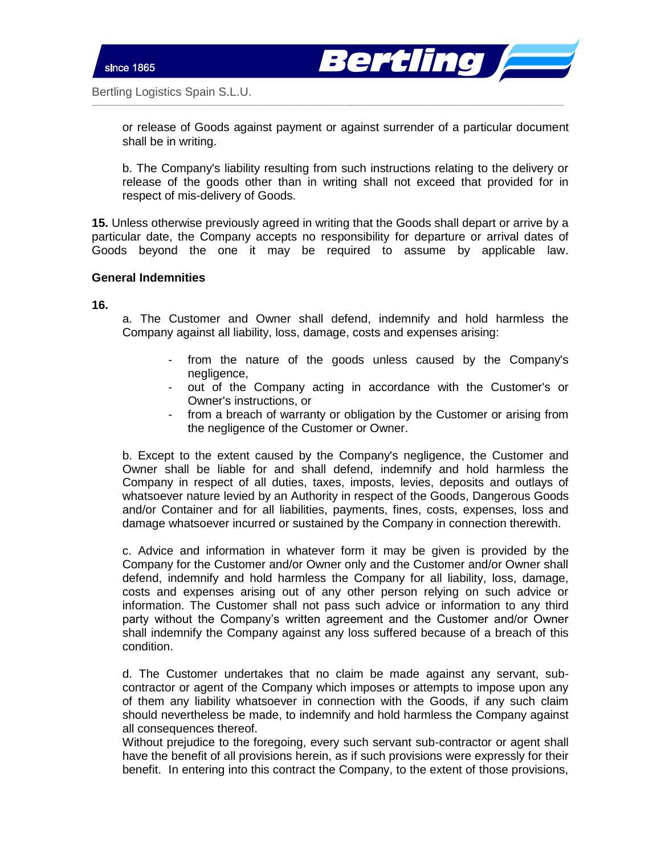

or release of Goods against payment or against surrender of a particular document shall be in writing.

 $\_$  , and the set of the set of the set of the set of the set of the set of the set of the set of the set of the set of the set of the set of the set of the set of the set of the set of the set of the set of the set of th

b. The Company's liability resulting from such instructions relating to the delivery or release of the goods other than in writing shall not exceed that provided for in respect of mis-delivery of Goods.

**15.** Unless otherwise previously agreed in writing that the Goods shall depart or arrive by a particular date, the Company accepts no responsibility for departure or arrival dates of Goods beyond the one it may be required to assume by applicable law.

#### **General Indemnities**

**16.** 

a. The Customer and Owner shall defend, indemnify and hold harmless the Company against all liability, loss, damage, costs and expenses arising:

- from the nature of the goods unless caused by the Company's negligence,
- out of the Company acting in accordance with the Customer's or Owner's instructions, or
- from a breach of warranty or obligation by the Customer or arising from the negligence of the Customer or Owner.

b. Except to the extent caused by the Company's negligence, the Customer and Owner shall be liable for and shall defend, indemnify and hold harmless the Company in respect of all duties, taxes, imposts, levies, deposits and outlays of whatsoever nature levied by an Authority in respect of the Goods, Dangerous Goods and/or Container and for all liabilities, payments, fines, costs, expenses, loss and damage whatsoever incurred or sustained by the Company in connection therewith.

c. Advice and information in whatever form it may be given is provided by the Company for the Customer and/or Owner only and the Customer and/or Owner shall defend, indemnify and hold harmless the Company for all liability, loss, damage, costs and expenses arising out of any other person relying on such advice or information. The Customer shall not pass such advice or information to any third party without the Company's written agreement and the Customer and/or Owner shall indemnify the Company against any loss suffered because of a breach of this condition.

d. The Customer undertakes that no claim be made against any servant, subcontractor or agent of the Company which imposes or attempts to impose upon any of them any liability whatsoever in connection with the Goods, if any such claim should nevertheless be made, to indemnify and hold harmless the Company against all consequences thereof.

Without prejudice to the foregoing, every such servant sub-contractor or agent shall have the benefit of all provisions herein, as if such provisions were expressly for their benefit. In entering into this contract the Company, to the extent of those provisions,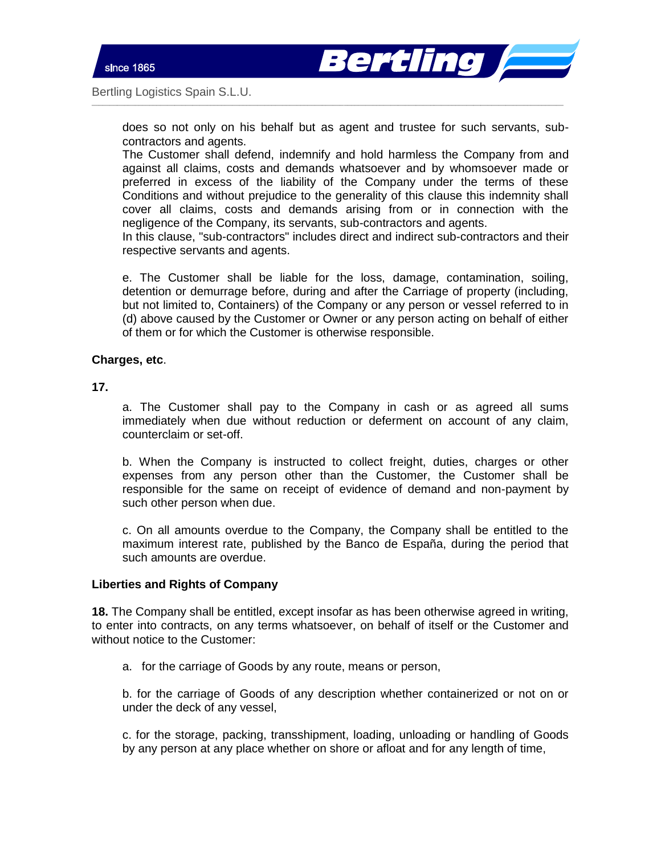



does so not only on his behalf but as agent and trustee for such servants, subcontractors and agents.

 $\_$  , and the set of the set of the set of the set of the set of the set of the set of the set of the set of the set of the set of the set of the set of the set of the set of the set of the set of the set of the set of th

The Customer shall defend, indemnify and hold harmless the Company from and against all claims, costs and demands whatsoever and by whomsoever made or preferred in excess of the liability of the Company under the terms of these Conditions and without prejudice to the generality of this clause this indemnity shall cover all claims, costs and demands arising from or in connection with the negligence of the Company, its servants, sub-contractors and agents.

In this clause, "sub-contractors" includes direct and indirect sub-contractors and their respective servants and agents.

e. The Customer shall be liable for the loss, damage, contamination, soiling, detention or demurrage before, during and after the Carriage of property (including, but not limited to, Containers) of the Company or any person or vessel referred to in (d) above caused by the Customer or Owner or any person acting on behalf of either of them or for which the Customer is otherwise responsible.

#### **Charges, etc**.

#### **17.**

a. The Customer shall pay to the Company in cash or as agreed all sums immediately when due without reduction or deferment on account of any claim, counterclaim or set-off.

b. When the Company is instructed to collect freight, duties, charges or other expenses from any person other than the Customer, the Customer shall be responsible for the same on receipt of evidence of demand and non-payment by such other person when due.

c. On all amounts overdue to the Company, the Company shall be entitled to the maximum interest rate, published by the Banco de España, during the period that such amounts are overdue.

# **Liberties and Rights of Company**

**18.** The Company shall be entitled, except insofar as has been otherwise agreed in writing, to enter into contracts, on any terms whatsoever, on behalf of itself or the Customer and without notice to the Customer:

a. for the carriage of Goods by any route, means or person,

b. for the carriage of Goods of any description whether containerized or not on or under the deck of any vessel,

c. for the storage, packing, transshipment, loading, unloading or handling of Goods by any person at any place whether on shore or afloat and for any length of time,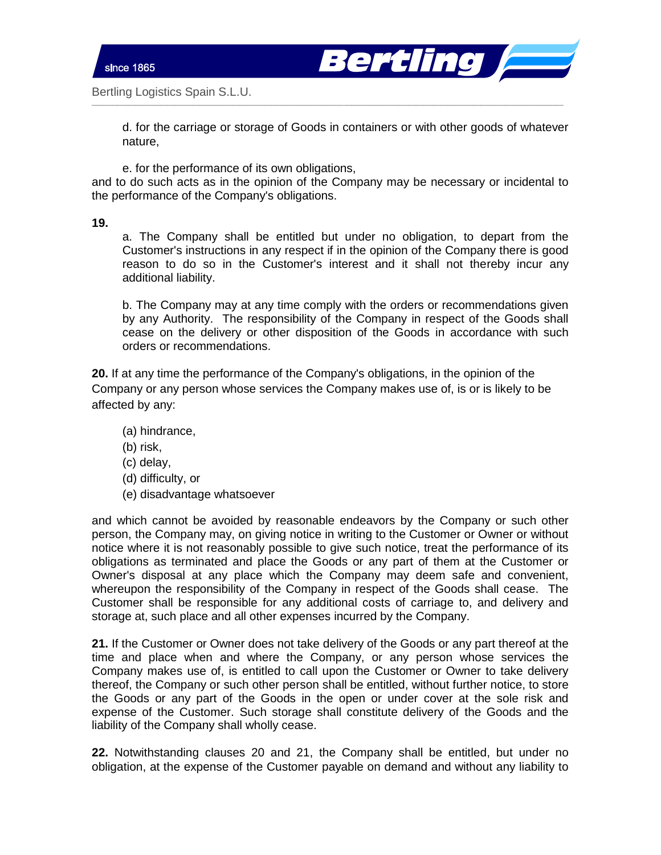



d. for the carriage or storage of Goods in containers or with other goods of whatever nature,

e. for the performance of its own obligations,

and to do such acts as in the opinion of the Company may be necessary or incidental to the performance of the Company's obligations.

 $\_$  , and the set of the set of the set of the set of the set of the set of the set of the set of the set of the set of the set of the set of the set of the set of the set of the set of the set of the set of the set of th

**19.** 

a. The Company shall be entitled but under no obligation, to depart from the Customer's instructions in any respect if in the opinion of the Company there is good reason to do so in the Customer's interest and it shall not thereby incur any additional liability.

b. The Company may at any time comply with the orders or recommendations given by any Authority. The responsibility of the Company in respect of the Goods shall cease on the delivery or other disposition of the Goods in accordance with such orders or recommendations.

**20.** If at any time the performance of the Company's obligations, in the opinion of the Company or any person whose services the Company makes use of, is or is likely to be affected by any:

- (a) hindrance,
- (b) risk,
- (c) delay,
- (d) difficulty, or
- (e) disadvantage whatsoever

and which cannot be avoided by reasonable endeavors by the Company or such other person, the Company may, on giving notice in writing to the Customer or Owner or without notice where it is not reasonably possible to give such notice, treat the performance of its obligations as terminated and place the Goods or any part of them at the Customer or Owner's disposal at any place which the Company may deem safe and convenient, whereupon the responsibility of the Company in respect of the Goods shall cease. The Customer shall be responsible for any additional costs of carriage to, and delivery and storage at, such place and all other expenses incurred by the Company.

**21.** If the Customer or Owner does not take delivery of the Goods or any part thereof at the time and place when and where the Company, or any person whose services the Company makes use of, is entitled to call upon the Customer or Owner to take delivery thereof, the Company or such other person shall be entitled, without further notice, to store the Goods or any part of the Goods in the open or under cover at the sole risk and expense of the Customer. Such storage shall constitute delivery of the Goods and the liability of the Company shall wholly cease.

**22.** Notwithstanding clauses 20 and 21, the Company shall be entitled, but under no obligation, at the expense of the Customer payable on demand and without any liability to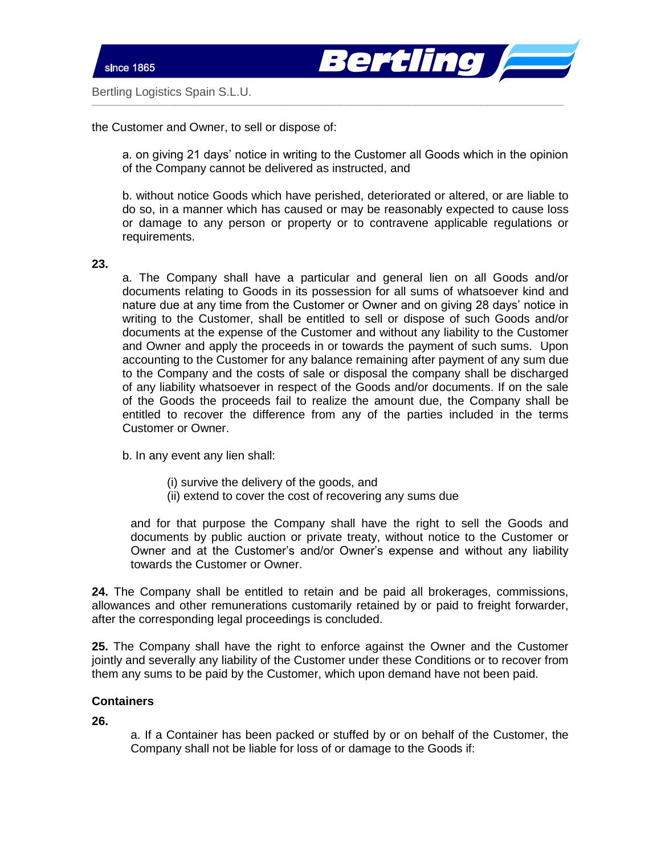



the Customer and Owner, to sell or dispose of:

a. on giving 21 days' notice in writing to the Customer all Goods which in the opinion of the Company cannot be delivered as instructed, and

 $\_$  , and the set of the set of the set of the set of the set of the set of the set of the set of the set of the set of the set of the set of the set of the set of the set of the set of the set of the set of the set of th

b. without notice Goods which have perished, deteriorated or altered, or are liable to do so, in a manner which has caused or may be reasonably expected to cause loss or damage to any person or property or to contravene applicable regulations or requirements.

**23.** 

a. The Company shall have a particular and general lien on all Goods and/or documents relating to Goods in its possession for all sums of whatsoever kind and nature due at any time from the Customer or Owner and on giving 28 days' notice in writing to the Customer, shall be entitled to sell or dispose of such Goods and/or documents at the expense of the Customer and without any liability to the Customer and Owner and apply the proceeds in or towards the payment of such sums. Upon accounting to the Customer for any balance remaining after payment of any sum due to the Company and the costs of sale or disposal the company shall be discharged of any liability whatsoever in respect of the Goods and/or documents. If on the sale of the Goods the proceeds fail to realize the amount due, the Company shall be entitled to recover the difference from any of the parties included in the terms Customer or Owner.

b. In any event any lien shall:

- (i) survive the delivery of the goods, and
- (ii) extend to cover the cost of recovering any sums due

and for that purpose the Company shall have the right to sell the Goods and documents by public auction or private treaty, without notice to the Customer or Owner and at the Customer's and/or Owner's expense and without any liability towards the Customer or Owner.

**24.** The Company shall be entitled to retain and be paid all brokerages, commissions, allowances and other remunerations customarily retained by or paid to freight forwarder, after the corresponding legal proceedings is concluded.

**25.** The Company shall have the right to enforce against the Owner and the Customer jointly and severally any liability of the Customer under these Conditions or to recover from them any sums to be paid by the Customer, which upon demand have not been paid.

# **Containers**

**26.** 

a. If a Container has been packed or stuffed by or on behalf of the Customer, the Company shall not be liable for loss of or damage to the Goods if: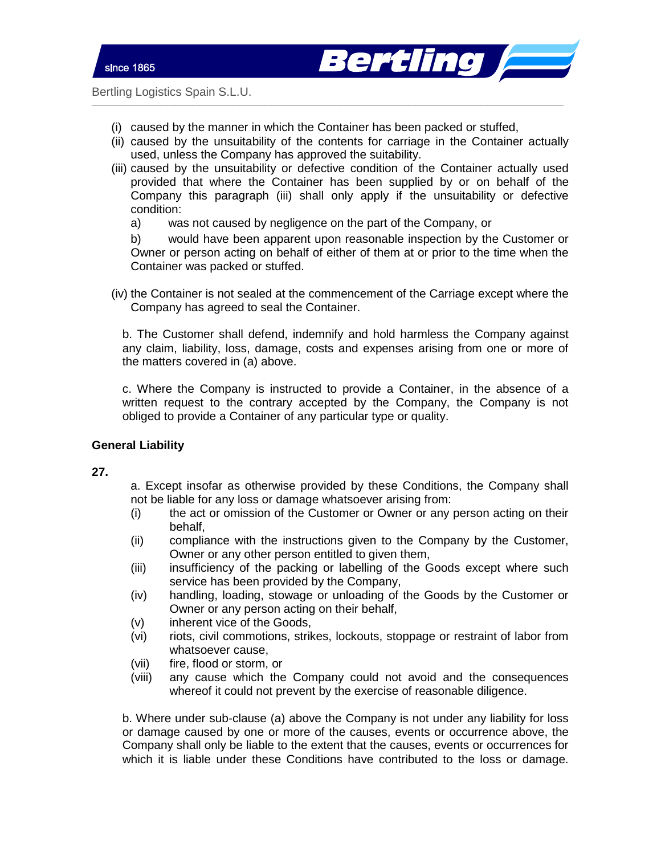

(i) caused by the manner in which the Container has been packed or stuffed,

 $\_$  , and the set of the set of the set of the set of the set of the set of the set of the set of the set of the set of the set of the set of the set of the set of the set of the set of the set of the set of the set of th

- (ii) caused by the unsuitability of the contents for carriage in the Container actually used, unless the Company has approved the suitability.
- (iii) caused by the unsuitability or defective condition of the Container actually used provided that where the Container has been supplied by or on behalf of the Company this paragraph (iii) shall only apply if the unsuitability or defective condition:
	- a) was not caused by negligence on the part of the Company, or

b) would have been apparent upon reasonable inspection by the Customer or Owner or person acting on behalf of either of them at or prior to the time when the Container was packed or stuffed.

(iv) the Container is not sealed at the commencement of the Carriage except where the Company has agreed to seal the Container.

b. The Customer shall defend, indemnify and hold harmless the Company against any claim, liability, loss, damage, costs and expenses arising from one or more of the matters covered in (a) above.

c. Where the Company is instructed to provide a Container, in the absence of a written request to the contrary accepted by the Company, the Company is not obliged to provide a Container of any particular type or quality.

# **General Liability**

# **27.**

a. Except insofar as otherwise provided by these Conditions, the Company shall not be liable for any loss or damage whatsoever arising from:

- (i) the act or omission of the Customer or Owner or any person acting on their behalf,
- (ii) compliance with the instructions given to the Company by the Customer, Owner or any other person entitled to given them,
- (iii) insufficiency of the packing or labelling of the Goods except where such service has been provided by the Company,
- (iv) handling, loading, stowage or unloading of the Goods by the Customer or Owner or any person acting on their behalf,
- (v) inherent vice of the Goods,
- (vi) riots, civil commotions, strikes, lockouts, stoppage or restraint of labor from whatsoever cause,
- (vii) fire, flood or storm, or
- (viii) any cause which the Company could not avoid and the consequences whereof it could not prevent by the exercise of reasonable diligence.

b. Where under sub-clause (a) above the Company is not under any liability for loss or damage caused by one or more of the causes, events or occurrence above, the Company shall only be liable to the extent that the causes, events or occurrences for which it is liable under these Conditions have contributed to the loss or damage.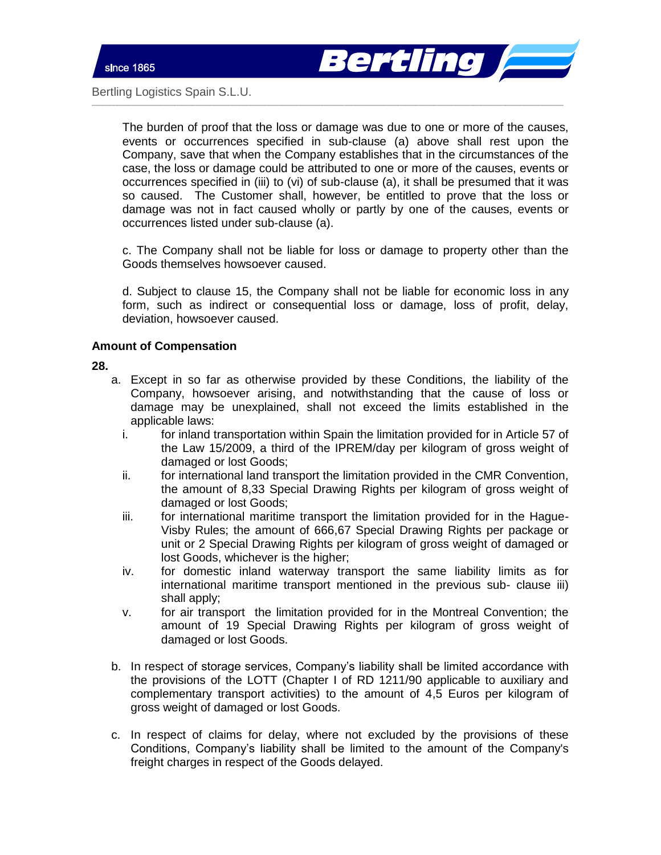

The burden of proof that the loss or damage was due to one or more of the causes, events or occurrences specified in sub-clause (a) above shall rest upon the Company, save that when the Company establishes that in the circumstances of the case, the loss or damage could be attributed to one or more of the causes, events or occurrences specified in (iii) to (vi) of sub-clause (a), it shall be presumed that it was so caused. The Customer shall, however, be entitled to prove that the loss or damage was not in fact caused wholly or partly by one of the causes, events or occurrences listed under sub-clause (a).

 $\_$  , and the set of the set of the set of the set of the set of the set of the set of the set of the set of the set of the set of the set of the set of the set of the set of the set of the set of the set of the set of th

c. The Company shall not be liable for loss or damage to property other than the Goods themselves howsoever caused.

d. Subject to clause 15, the Company shall not be liable for economic loss in any form, such as indirect or consequential loss or damage, loss of profit, delay, deviation, howsoever caused.

# **Amount of Compensation**

**28.** 

- a. Except in so far as otherwise provided by these Conditions, the liability of the Company, howsoever arising, and notwithstanding that the cause of loss or damage may be unexplained, shall not exceed the limits established in the applicable laws:
	- i. for inland transportation within Spain the limitation provided for in Article 57 of the Law 15/2009, a third of the IPREM/day per kilogram of gross weight of damaged or lost Goods;
	- ii. for international land transport the limitation provided in the CMR Convention, the amount of 8,33 Special Drawing Rights per kilogram of gross weight of damaged or lost Goods;
	- iii. for international maritime transport the limitation provided for in the Hague-Visby Rules; the amount of 666,67 Special Drawing Rights per package or unit or 2 Special Drawing Rights per kilogram of gross weight of damaged or lost Goods, whichever is the higher;
	- iv. for domestic inland waterway transport the same liability limits as for international maritime transport mentioned in the previous sub- clause iii) shall apply;
	- v. for air transport the limitation provided for in the Montreal Convention; the amount of 19 Special Drawing Rights per kilogram of gross weight of damaged or lost Goods.
- b. In respect of storage services, Company's liability shall be limited accordance with the provisions of the LOTT (Chapter I of RD 1211/90 applicable to auxiliary and complementary transport activities) to the amount of 4,5 Euros per kilogram of gross weight of damaged or lost Goods.
- c. In respect of claims for delay, where not excluded by the provisions of these Conditions, Company's liability shall be limited to the amount of the Company's freight charges in respect of the Goods delayed.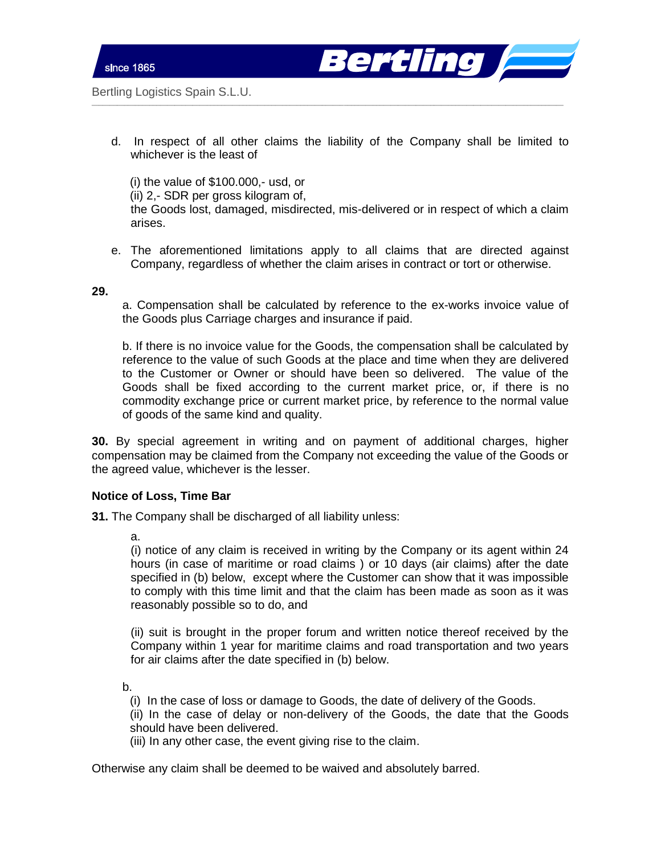



d. In respect of all other claims the liability of the Company shall be limited to whichever is the least of

 $\_$  , and the set of the set of the set of the set of the set of the set of the set of the set of the set of the set of the set of the set of the set of the set of the set of the set of the set of the set of the set of th

(i) the value of \$100.000,- usd, or (ii) 2,- SDR per gross kilogram of, the Goods lost, damaged, misdirected, mis-delivered or in respect of which a claim arises.

e. The aforementioned limitations apply to all claims that are directed against Company, regardless of whether the claim arises in contract or tort or otherwise.

#### **29.**

a. Compensation shall be calculated by reference to the ex-works invoice value of the Goods plus Carriage charges and insurance if paid.

b. If there is no invoice value for the Goods, the compensation shall be calculated by reference to the value of such Goods at the place and time when they are delivered to the Customer or Owner or should have been so delivered. The value of the Goods shall be fixed according to the current market price, or, if there is no commodity exchange price or current market price, by reference to the normal value of goods of the same kind and quality.

**30.** By special agreement in writing and on payment of additional charges, higher compensation may be claimed from the Company not exceeding the value of the Goods or the agreed value, whichever is the lesser.

#### **Notice of Loss, Time Bar**

**31.** The Company shall be discharged of all liability unless:

a.

(i) notice of any claim is received in writing by the Company or its agent within 24 hours (in case of maritime or road claims ) or 10 days (air claims) after the date specified in (b) below, except where the Customer can show that it was impossible to comply with this time limit and that the claim has been made as soon as it was reasonably possible so to do, and

(ii) suit is brought in the proper forum and written notice thereof received by the Company within 1 year for maritime claims and road transportation and two years for air claims after the date specified in (b) below.

b.

(i) In the case of loss or damage to Goods, the date of delivery of the Goods.

(ii) In the case of delay or non-delivery of the Goods, the date that the Goods should have been delivered.

(iii) In any other case, the event giving rise to the claim.

Otherwise any claim shall be deemed to be waived and absolutely barred.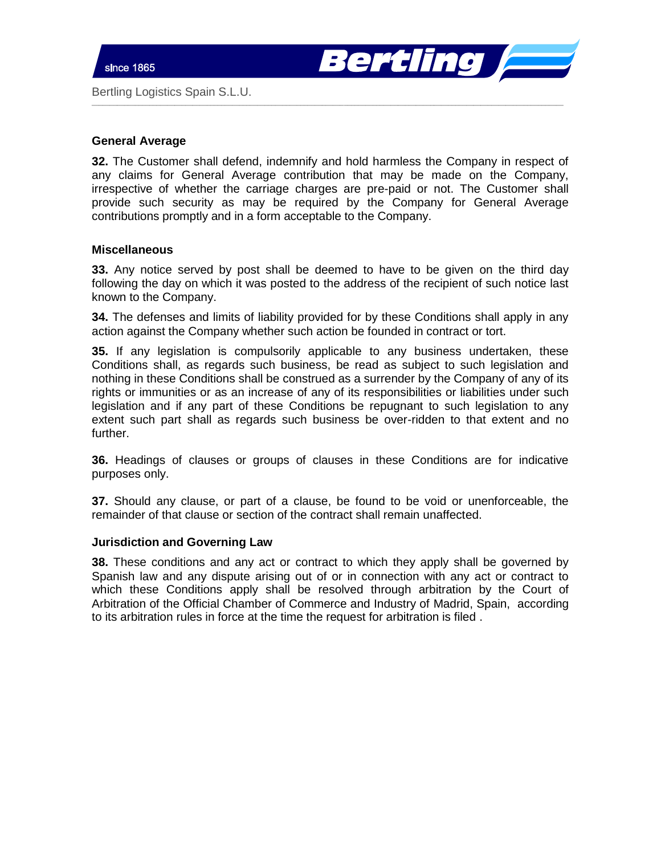

# **General Average**

**32.** The Customer shall defend, indemnify and hold harmless the Company in respect of any claims for General Average contribution that may be made on the Company, irrespective of whether the carriage charges are pre-paid or not. The Customer shall provide such security as may be required by the Company for General Average contributions promptly and in a form acceptable to the Company.

 $\_$  , and the set of the set of the set of the set of the set of the set of the set of the set of the set of the set of the set of the set of the set of the set of the set of the set of the set of the set of the set of th

#### **Miscellaneous**

**33.** Any notice served by post shall be deemed to have to be given on the third day following the day on which it was posted to the address of the recipient of such notice last known to the Company.

**34.** The defenses and limits of liability provided for by these Conditions shall apply in any action against the Company whether such action be founded in contract or tort.

**35.** If any legislation is compulsorily applicable to any business undertaken, these Conditions shall, as regards such business, be read as subject to such legislation and nothing in these Conditions shall be construed as a surrender by the Company of any of its rights or immunities or as an increase of any of its responsibilities or liabilities under such legislation and if any part of these Conditions be repugnant to such legislation to any extent such part shall as regards such business be over-ridden to that extent and no further.

**36.** Headings of clauses or groups of clauses in these Conditions are for indicative purposes only.

**37.** Should any clause, or part of a clause, be found to be void or unenforceable, the remainder of that clause or section of the contract shall remain unaffected.

#### **Jurisdiction and Governing Law**

**38.** These conditions and any act or contract to which they apply shall be governed by Spanish law and any dispute arising out of or in connection with any act or contract to which these Conditions apply shall be resolved through arbitration by the Court of Arbitration of the Official Chamber of Commerce and Industry of Madrid, Spain, according to its arbitration rules in force at the time the request for arbitration is filed .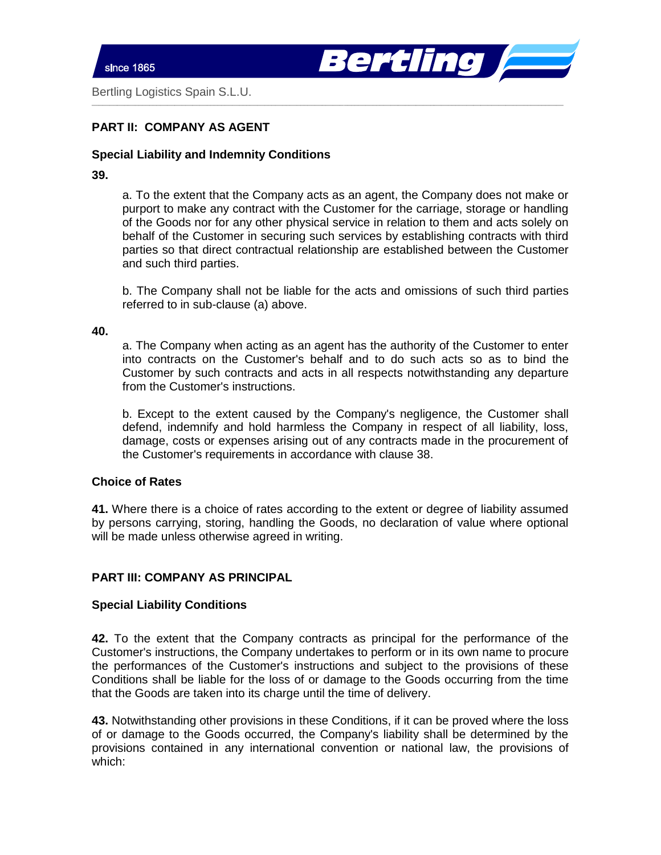

# **PART II: COMPANY AS AGENT**

# **Special Liability and Indemnity Conditions**

### **39.**

a. To the extent that the Company acts as an agent, the Company does not make or purport to make any contract with the Customer for the carriage, storage or handling of the Goods nor for any other physical service in relation to them and acts solely on behalf of the Customer in securing such services by establishing contracts with third parties so that direct contractual relationship are established between the Customer and such third parties.

 $\_$  , and the set of the set of the set of the set of the set of the set of the set of the set of the set of the set of the set of the set of the set of the set of the set of the set of the set of the set of the set of th

b. The Company shall not be liable for the acts and omissions of such third parties referred to in sub-clause (a) above.

#### **40.**

a. The Company when acting as an agent has the authority of the Customer to enter into contracts on the Customer's behalf and to do such acts so as to bind the Customer by such contracts and acts in all respects notwithstanding any departure from the Customer's instructions.

b. Except to the extent caused by the Company's negligence, the Customer shall defend, indemnify and hold harmless the Company in respect of all liability, loss, damage, costs or expenses arising out of any contracts made in the procurement of the Customer's requirements in accordance with clause 38.

# **Choice of Rates**

**41.** Where there is a choice of rates according to the extent or degree of liability assumed by persons carrying, storing, handling the Goods, no declaration of value where optional will be made unless otherwise agreed in writing.

# **PART III: COMPANY AS PRINCIPAL**

# **Special Liability Conditions**

**42.** To the extent that the Company contracts as principal for the performance of the Customer's instructions, the Company undertakes to perform or in its own name to procure the performances of the Customer's instructions and subject to the provisions of these Conditions shall be liable for the loss of or damage to the Goods occurring from the time that the Goods are taken into its charge until the time of delivery.

**43.** Notwithstanding other provisions in these Conditions, if it can be proved where the loss of or damage to the Goods occurred, the Company's liability shall be determined by the provisions contained in any international convention or national law, the provisions of which: